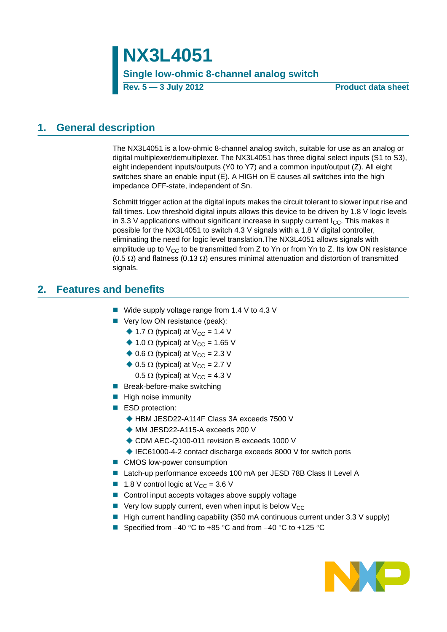**Rev. 5 — 3 July 2012 Product data sheet**

## <span id="page-0-0"></span>**1. General description**

The NX3L4051 is a low-ohmic 8-channel analog switch, suitable for use as an analog or digital multiplexer/demultiplexer. The NX3L4051 has three digital select inputs (S1 to S3), eight independent inputs/outputs (Y0 to Y7) and a common input/output (Z). All eight switches share an enable input (E). A HIGH on E causes all switches into the high impedance OFF-state, independent of Sn.

Schmitt trigger action at the digital inputs makes the circuit tolerant to slower input rise and fall times. Low threshold digital inputs allows this device to be driven by 1.8 V logic levels in 3.3 V applications without significant increase in supply current  $I_{\rm CC}$ . This makes it possible for the NX3L4051 to switch 4.3 V signals with a 1.8 V digital controller, eliminating the need for logic level translation.The NX3L4051 allows signals with amplitude up to  $V_{CC}$  to be transmitted from Z to Yn or from Yn to Z. Its low ON resistance  $(0.5 \Omega)$  and flatness  $(0.13 \Omega)$  ensures minimal attenuation and distortion of transmitted signals.

## <span id="page-0-1"></span>**2. Features and benefits**

- Wide supply voltage range from 1.4 V to 4.3 V
- Very low ON resistance (peak):
	- $\triangle$  1.7  $\Omega$  (typical) at V<sub>CC</sub> = 1.4 V
	- $\triangle$  1.0  $\Omega$  (typical) at V<sub>CC</sub> = 1.65 V
	- $\triangle$  0.6  $\Omega$  (typical) at V<sub>CC</sub> = 2.3 V
	- $\triangle$  0.5  $\Omega$  (typical) at V<sub>CC</sub> = 2.7 V
		- 0.5  $\Omega$  (typical) at V<sub>CC</sub> = 4.3 V
- **Break-before-make switching**
- $\blacksquare$  High noise immunity
- ESD protection:
	- ◆ HBM JESD22-A114F Class 3A exceeds 7500 V
	- ◆ MM JESD22-A115-A exceeds 200 V
	- ◆ CDM AEC-Q100-011 revision B exceeds 1000 V
	- ◆ IEC61000-4-2 contact discharge exceeds 8000 V for switch ports
- CMOS low-power consumption
- Latch-up performance exceeds 100 mA per JESD 78B Class II Level A
- **1.8** V control logic at  $V_{CC} = 3.6$  V
- Control input accepts voltages above supply voltage
- $\blacksquare$  Very low supply current, even when input is below V<sub>CC</sub>
- $\blacksquare$  High current handling capability (350 mA continuous current under 3.3 V supply)
- Specified from  $-40$  °C to  $+85$  °C and from  $-40$  °C to  $+125$  °C

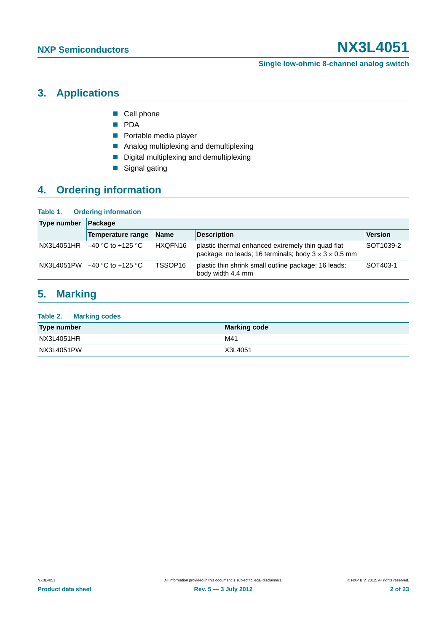#### **Single low-ohmic 8-channel analog switch**

# <span id="page-1-0"></span>**3. Applications**

- Cell phone
- **PDA**
- **Portable media player**
- **Analog multiplexing and demultiplexing**
- Digital multiplexing and demultiplexing
- Signal gating

# <span id="page-1-1"></span>**4. Ordering information**

**Table 1. Ordering information**

| Type number | $\vert$ Package                |             |                                                                                                                       |                |  |  |  |  |
|-------------|--------------------------------|-------------|-----------------------------------------------------------------------------------------------------------------------|----------------|--|--|--|--|
|             | Temperature range              | <b>Name</b> | <b>Description</b>                                                                                                    | <b>Version</b> |  |  |  |  |
| NX3L4051HR  | –40 °C to +125 °C              | HXQFN16     | plastic thermal enhanced extremely thin quad flat<br>package; no leads; 16 terminals; body $3 \times 3 \times 0.5$ mm | SOT1039-2      |  |  |  |  |
|             | NX3L4051PW $-40$ °C to +125 °C | TSSOP16     | plastic thin shrink small outline package; 16 leads;<br>body width 4.4 mm                                             | SOT403-1       |  |  |  |  |

# <span id="page-1-2"></span>**5. Marking**

| Table 2.<br><b>Marking codes</b> |                     |
|----------------------------------|---------------------|
| Type number                      | <b>Marking code</b> |
| NX3L4051HR                       | M41                 |
| NX3L4051PW                       | X3L4051             |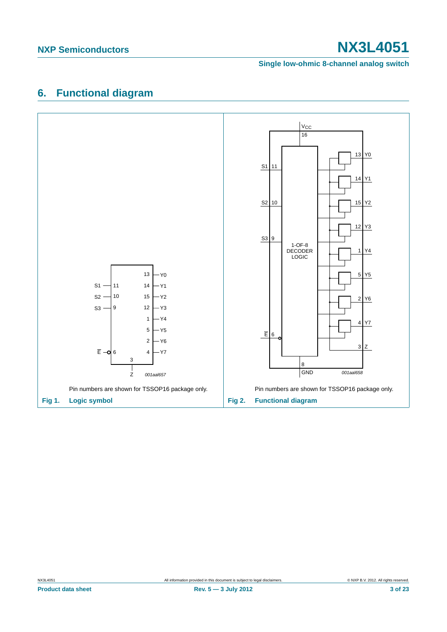#### **Single low-ohmic 8-channel analog switch**

# <span id="page-2-0"></span>**6. Functional diagram**

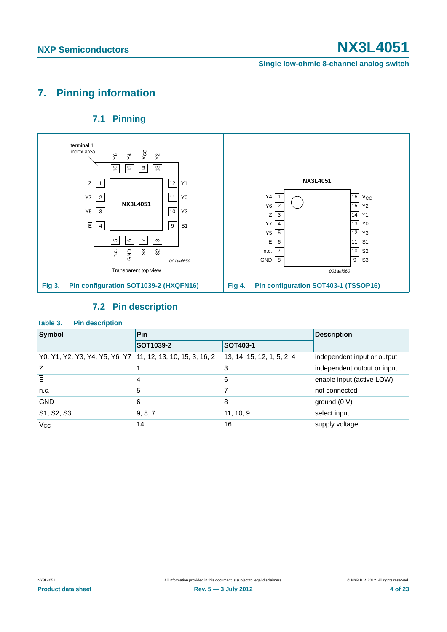**Single low-ohmic 8-channel analog switch**

# <span id="page-3-0"></span>**7. Pinning information**

### **7.1 Pinning**

<span id="page-3-1"></span>

### **7.2 Pin description**

### <span id="page-3-2"></span>**Table 3. Pin description**

| Symbol                                                      | Pin                   | <b>Description</b>         |                             |
|-------------------------------------------------------------|-----------------------|----------------------------|-----------------------------|
|                                                             | SOT403-1<br>SOT1039-2 |                            |                             |
| Y0, Y1, Y2, Y3, Y4, Y5, Y6, Y7 11, 12, 13, 10, 15, 3, 16, 2 |                       | 13, 14, 15, 12, 1, 5, 2, 4 | independent input or output |
| Z                                                           |                       | 3                          | independent output or input |
| $\overline{E}$                                              | 4                     | 6                          | enable input (active LOW)   |
| n.c.                                                        | 5                     |                            | not connected               |
| <b>GND</b>                                                  | 6                     | 8                          | ground $(0 V)$              |
| S1, S2, S3                                                  | 9, 8, 7               | 11, 10, 9                  | select input                |
| $V_{\rm CC}$                                                | 14                    | 16                         | supply voltage              |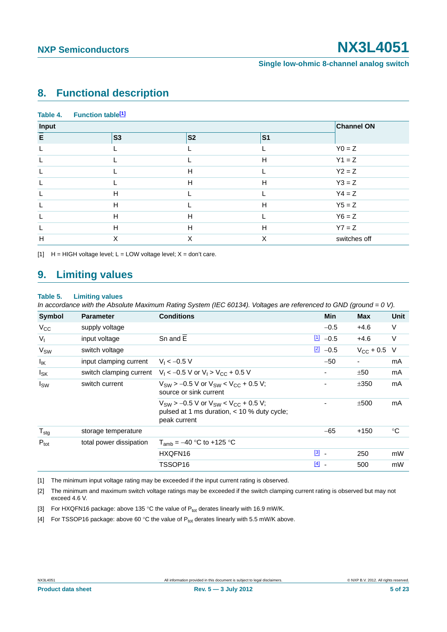## <span id="page-4-5"></span>**8. Functional description**

| Table 4. | Function table <sup>[1]</sup> |                   |                |              |
|----------|-------------------------------|-------------------|----------------|--------------|
| Input    |                               | <b>Channel ON</b> |                |              |
| E        | <b>S3</b>                     | <b>S2</b>         | S <sub>1</sub> |              |
| L        |                               |                   |                | $Y0 = Z$     |
|          |                               |                   | H              | $Y1 = Z$     |
|          |                               | H                 |                | $Y2 = Z$     |
|          |                               | H                 | H              | $Y3 = Z$     |
|          | H                             |                   |                | $Y4 = Z$     |
|          | H                             |                   | H              | $Y5 = Z$     |
|          | H                             | H                 |                | $Y6 = Z$     |
| L        | H                             | H                 | H              | $YZ = Z$     |
| H        | X                             | X                 | X              | switches off |

<span id="page-4-0"></span> $[H]$  H = HIGH voltage level; L = LOW voltage level; X = don't care.

### <span id="page-4-6"></span>**9. Limiting values**

#### **Table 5. Limiting values**

*In accordance with the Absolute Maximum Rating System (IEC 60134). Voltages are referenced to GND (ground = 0 V).*

| <b>Symbol</b>     | <b>Parameter</b>        | <b>Conditions</b>                                                                                                | <b>Min</b>            | <b>Max</b>       | Unit   |
|-------------------|-------------------------|------------------------------------------------------------------------------------------------------------------|-----------------------|------------------|--------|
| $V_{CC}$          | supply voltage          |                                                                                                                  | $-0.5$                | $+4.6$           | $\vee$ |
| $V_{I}$           | input voltage           | Sn and E                                                                                                         | <u>[1]</u><br>$-0.5$  | +4.6             | V      |
| V <sub>SW</sub>   | switch voltage          |                                                                                                                  | $\boxed{2}$<br>$-0.5$ | $V_{CC}$ + 0.5 V |        |
| $I_{\mathsf{IK}}$ | input clamping current  | $V_1 < -0.5$ V                                                                                                   | $-50$                 | -                | mA     |
| $I_{SK}$          |                         | switch clamping current $V_1 < -0.5$ V or $V_1 > V_{CC} + 0.5$ V                                                 |                       | ±50              | mA     |
| $I_{SW}$          | switch current          | $V_{SW}$ > -0.5 V or $V_{SW}$ < $V_{CC}$ + 0.5 V;<br>source or sink current                                      |                       | ±350             | mA     |
|                   |                         | $V_{SW}$ > -0.5 V or $V_{SW}$ < $V_{CC}$ + 0.5 V;<br>pulsed at 1 ms duration, < 10 % duty cycle;<br>peak current |                       | ±500             | mA     |
| $T_{\text{stg}}$  | storage temperature     |                                                                                                                  | $-65$                 | $+150$           | °C     |
| $P_{\text{tot}}$  | total power dissipation | $T_{amb} = -40 °C$ to +125 °C                                                                                    |                       |                  |        |
|                   |                         | HXQFN16                                                                                                          | $\boxed{3}$ -         | 250              | mW     |
|                   |                         | TSSOP16                                                                                                          | $[4]$                 | 500              | mW     |

<span id="page-4-1"></span>[1] The minimum input voltage rating may be exceeded if the input current rating is observed.

<span id="page-4-2"></span>[2] The minimum and maximum switch voltage ratings may be exceeded if the switch clamping current rating is observed but may not exceed 4.6 V.

<span id="page-4-3"></span>[3] For HXQFN16 package: above 135 °C the value of  $P_{tot}$  derates linearly with 16.9 mW/K.

<span id="page-4-4"></span>[4] For TSSOP16 package: above 60 °C the value of  $P_{tot}$  derates linearly with 5.5 mW/K above.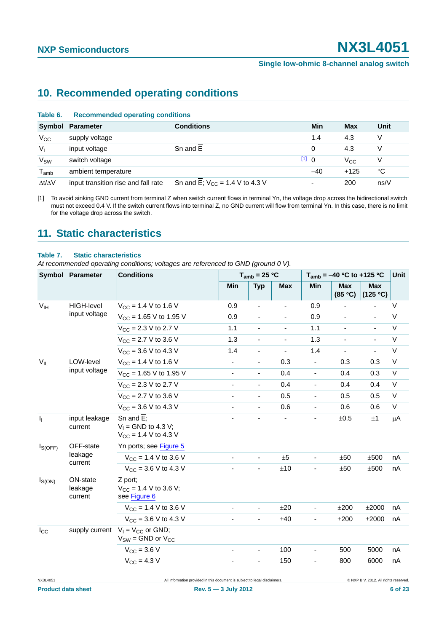## <span id="page-5-1"></span>**10. Recommended operating conditions**

| Table 6.                    | <b>Recommended operating conditions</b> |                                     |       |          |      |  |  |
|-----------------------------|-----------------------------------------|-------------------------------------|-------|----------|------|--|--|
|                             | Symbol Parameter                        | <b>Conditions</b>                   | Min   | Max      | Unit |  |  |
| $V_{\rm CC}$                | supply voltage                          |                                     | 1.4   | 4.3      |      |  |  |
| $V_{1}$                     | input voltage                           | Sn and E                            | 0     | 4.3      |      |  |  |
| <b>V<sub>SW</sub></b>       | switch voltage                          |                                     | [1] 0 | $V_{CC}$ |      |  |  |
| $\mathsf{T}_{\mathsf{amb}}$ | ambient temperature                     |                                     | $-40$ | $+125$   | °C   |  |  |
| $\Delta t/\Delta V$         | input transition rise and fall rate     | Sn and E; $V_{CC} = 1.4 V$ to 4.3 V | ۰     | 200      | ns/V |  |  |

<span id="page-5-0"></span>[1] To avoid sinking GND current from terminal Z when switch current flows in terminal Yn, the voltage drop across the bidirectional switch must not exceed 0.4 V. If the switch current flows into terminal Z, no GND current will flow from terminal Yn. In this case, there is no limit for the voltage drop across the switch.

## <span id="page-5-2"></span>**11. Static characteristics**

#### **Table 7. Static characteristics**

*At recommended operating conditions; voltages are referenced to GND (ground 0 V).*

| <b>Symbol</b><br><b>Parameter</b> |                                | <b>Conditions</b>                                                             | $T_{amb}$ = 25 °C        |                              |                          | $T_{amb}$ = -40 °C to +125 °C |                          |                                       | Unit        |
|-----------------------------------|--------------------------------|-------------------------------------------------------------------------------|--------------------------|------------------------------|--------------------------|-------------------------------|--------------------------|---------------------------------------|-------------|
|                                   |                                |                                                                               | Min                      | <b>Typ</b>                   | <b>Max</b>               | Min                           | <b>Max</b><br>(85 °C)    | <b>Max</b><br>(125 °C)                |             |
| V <sub>IH</sub>                   | HIGH-level                     | $V_{CC}$ = 1.4 V to 1.6 V                                                     | 0.9                      | ÷,                           |                          | 0.9                           |                          |                                       | $\vee$      |
|                                   | input voltage                  | $V_{CC}$ = 1.65 V to 1.95 V                                                   | 0.9                      | $\blacksquare$               |                          | 0.9                           | $\overline{\phantom{0}}$ | $\blacksquare$                        | V           |
|                                   |                                | $V_{CC}$ = 2.3 V to 2.7 V                                                     | 1.1                      | $\overline{\phantom{a}}$     |                          | 1.1                           |                          | $\blacksquare$                        | V           |
|                                   |                                | $V_{CC}$ = 2.7 V to 3.6 V                                                     | 1.3                      | $\overline{\phantom{a}}$     |                          | 1.3                           |                          | ä,                                    | $\vee$      |
|                                   |                                | $V_{CC}$ = 3.6 V to 4.3 V                                                     | 1.4                      | $\blacksquare$               | $\overline{\phantom{a}}$ | 1.4                           | $\blacksquare$           | $\blacksquare$                        | V           |
| $V_{IL}$                          | LOW-level<br>input voltage     | $V_{CC}$ = 1.4 V to 1.6 V                                                     | $\overline{\phantom{a}}$ | $\overline{\phantom{a}}$     | 0.3                      |                               | 0.3                      | 0.3                                   | $\mathsf V$ |
|                                   |                                | $V_{CC}$ = 1.65 V to 1.95 V                                                   | ÷,                       | $\overline{\phantom{a}}$     | 0.4                      | $\blacksquare$                | 0.4                      | 0.3                                   | $\vee$      |
|                                   | $V_{CC}$ = 2.3 V to 2.7 V      | $\overline{\phantom{a}}$                                                      | $\blacksquare$           | 0.4                          | $\blacksquare$           | 0.4                           | 0.4                      | V                                     |             |
|                                   |                                | $V_{CC}$ = 2.7 V to 3.6 V                                                     | $\overline{\phantom{a}}$ | $\overline{\phantom{a}}$     | 0.5                      | $\blacksquare$                | 0.5                      | 0.5                                   | V           |
|                                   |                                | $V_{CC}$ = 3.6 V to 4.3 V                                                     |                          | ä,                           | 0.6                      |                               | 0.6                      | 0.6                                   | V           |
| I <sub>1</sub>                    | input leakage<br>current       | Sn and $\overline{E}$ :<br>$V_1$ = GND to 4.3 V;<br>$V_{CC}$ = 1.4 V to 4.3 V |                          | $\qquad \qquad \blacksquare$ |                          | $\overline{\phantom{a}}$      | ±0.5                     | ±1                                    | μA          |
| $I_{S(OFF)}$                      | OFF-state                      | Yn ports; see Figure 5                                                        |                          |                              |                          |                               |                          |                                       |             |
|                                   | leakage<br>current             | $V_{CC}$ = 1.4 V to 3.6 V                                                     | ä,                       |                              | ±5                       |                               | ±50                      | ±500                                  | nA          |
|                                   |                                | $V_{CC}$ = 3.6 V to 4.3 V                                                     | ä,                       | $\blacksquare$               | ±10                      |                               | ±50                      | ±500                                  | nA          |
| $I_{S(ON)}$                       | ON-state<br>leakage<br>current | Z port;<br>$V_{CC}$ = 1.4 V to 3.6 V;<br>see Figure 6                         |                          |                              |                          |                               |                          |                                       |             |
|                                   |                                | $V_{CC}$ = 1.4 V to 3.6 V                                                     | $\blacksquare$           | $\blacksquare$               | ±20                      |                               | ±200                     | ±2000                                 | nA          |
|                                   |                                | $V_{CC}$ = 3.6 V to 4.3 V                                                     |                          | ä,                           | ±40                      |                               | ±200                     | ±2000                                 | nA          |
| $I_{\rm CC}$                      | supply current                 | $V_1 = V_{CC}$ or GND;<br>$V_{SW} =$ GND or $V_{CC}$                          |                          |                              |                          |                               |                          |                                       |             |
|                                   |                                | $V_{\text{CC}} = 3.6 V$                                                       | $\overline{\phantom{m}}$ | $\overline{\phantom{a}}$     | 100                      |                               | 500                      | 5000                                  | nA          |
|                                   |                                | $V_{\text{CC}} = 4.3 V$                                                       |                          | $\blacksquare$               | 150                      |                               | 800                      | 6000                                  | nA          |
| NX3L4051                          |                                | All information provided in this document is subject to legal disclaimers.    |                          |                              |                          |                               |                          | © NXP B.V. 2012. All rights reserved. |             |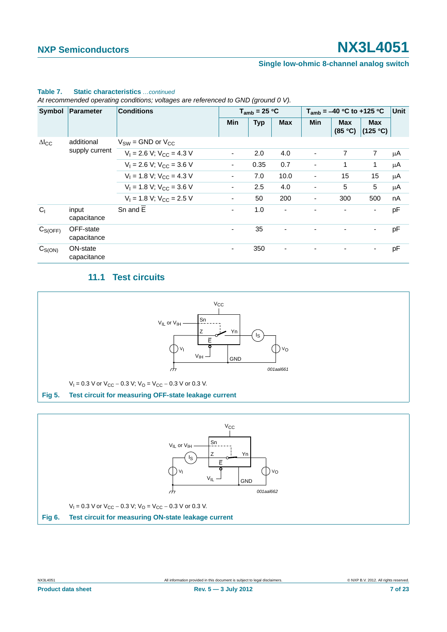#### **Single low-ohmic 8-channel analog switch**

| Symbol              | Parameter                | <b>Conditions</b>                | $T_{amb}$ = 25 °C        |            |                          | $T_{amb} = -40 °C$ to +125 °C |                       |                          | <b>Unit</b> |
|---------------------|--------------------------|----------------------------------|--------------------------|------------|--------------------------|-------------------------------|-----------------------|--------------------------|-------------|
|                     |                          |                                  | Min                      | <b>Typ</b> | <b>Max</b>               | Min                           | <b>Max</b><br>(85 °C) | <b>Max</b><br>(125 °C)   |             |
| $\Delta I_{\rm CC}$ | additional               | $V_{SW}$ = GND or $V_{CC}$       |                          |            |                          |                               |                       |                          |             |
|                     | supply current           | $V_1 = 2.6 V$ ; $V_{CC} = 4.3 V$ | $\overline{\phantom{a}}$ | 2.0        | 4.0                      |                               | 7                     | $\overline{7}$           | μA          |
|                     |                          | $V_1 = 2.6$ V; $V_{CC} = 3.6$ V  | $\overline{\phantom{a}}$ | 0.35       | 0.7                      |                               | 1                     | 1                        | μA          |
|                     |                          | $V_1 = 1.8 V$ ; $V_{CC} = 4.3 V$ | $\overline{\phantom{a}}$ | 7.0        | 10.0                     |                               | 15                    | 15                       | μA          |
|                     |                          | $V_1 = 1.8 V$ ; $V_{CC} = 3.6 V$ | $\blacksquare$           | 2.5        | 4.0                      | -                             | 5                     | 5                        | μA          |
|                     |                          | $V_1 = 1.8 V$ ; $V_{CC} = 2.5 V$ | $\overline{\phantom{a}}$ | 50         | 200                      | ۰                             | 300                   | 500                      | nA          |
| C <sub>1</sub>      | input<br>capacitance     | Sn and E                         | $\blacksquare$           | 1.0        | $\overline{\phantom{a}}$ |                               |                       | $\overline{\phantom{a}}$ | pF          |
| $C_{S(OFF)}$        | OFF-state<br>capacitance |                                  | $\overline{\phantom{a}}$ | 35         |                          |                               |                       | Ξ.                       | pF          |
| $C_{S(ON)}$         | ON-state<br>capacitance  |                                  | ٠                        | 350        | ۰                        |                               |                       | ۰                        | рF          |

### **Table 7. Static characteristics** *…continued*

*At recommended operating conditions; voltages are referenced to GND (ground 0 V).*

## **11.1 Test circuits**

<span id="page-6-2"></span>

<span id="page-6-1"></span><span id="page-6-0"></span>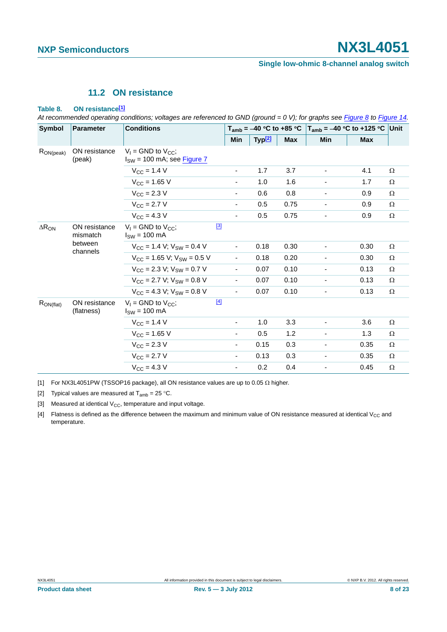### **11.2 ON resistance**

#### <span id="page-7-4"></span>**Table 8. ON resistanc[e\[1\]](#page-7-0)**

*At recommended operating conditions; voltages are referenced to GND (ground = 0 V); for graphs see [Figure 8](#page-8-0) to [Figure 14.](#page-10-0)*

| Symbol          | <b>Parameter</b>                                 | <b>Conditions</b>                                                   |                          |                    |            | $T_{amb}$ = -40 °C to +85 °C   $T_{amb}$ = -40 °C to +125 °C   Unit |            |          |
|-----------------|--------------------------------------------------|---------------------------------------------------------------------|--------------------------|--------------------|------------|---------------------------------------------------------------------|------------|----------|
|                 |                                                  |                                                                     | Min                      | Typ <sup>[2]</sup> | <b>Max</b> | Min                                                                 | <b>Max</b> |          |
| $R_{ON(peak)}$  | ON resistance<br>(peak)                          | $V_1$ = GND to $V_{CC}$ ;<br>$I_{SW}$ = 100 mA; see <b>Figure 7</b> |                          |                    |            |                                                                     |            |          |
|                 |                                                  | $V_{CC}$ = 1.4 V                                                    | ۰                        | 1.7                | 3.7        |                                                                     | 4.1        | Ω        |
|                 |                                                  | $V_{CC}$ = 1.65 V                                                   |                          | 1.0                | 1.6        |                                                                     | 1.7        | Ω        |
|                 |                                                  | $V_{\text{CC}} = 2.3 V$                                             |                          | 0.6                | 0.8        |                                                                     | 0.9        | $\Omega$ |
|                 |                                                  | $V_{\text{CC}} = 2.7 V$                                             | -                        | 0.5                | 0.75       | ۰                                                                   | 0.9        | Ω        |
|                 |                                                  | $V_{\rm CC} = 4.3 V$                                                | $\overline{\phantom{0}}$ | 0.5                | 0.75       |                                                                     | 0.9        | Ω        |
| $\Delta R_{ON}$ | ON resistance<br>mismatch<br>between<br>channels | $V_1$ = GND to $V_{CC}$ :<br>$I_{SW}$ = 100 mA                      | $[3]$                    |                    |            |                                                                     |            |          |
|                 |                                                  | $V_{CC}$ = 1.4 V; $V_{SW}$ = 0.4 V                                  | $\overline{\phantom{0}}$ | 0.18               | 0.30       |                                                                     | 0.30       | $\Omega$ |
|                 |                                                  | $V_{\text{CC}}$ = 1.65 V; $V_{\text{SW}}$ = 0.5 V                   |                          | 0.18               | 0.20       |                                                                     | 0.30       | $\Omega$ |
|                 |                                                  | $V_{CC}$ = 2.3 V; $V_{SW}$ = 0.7 V                                  | $\overline{\phantom{0}}$ | 0.07               | 0.10       | $\overline{\phantom{0}}$                                            | 0.13       | $\Omega$ |
|                 |                                                  | $V_{CC}$ = 2.7 V; $V_{SW}$ = 0.8 V                                  | ÷,                       | 0.07               | 0.10       |                                                                     | 0.13       | $\Omega$ |
|                 |                                                  | $V_{CC}$ = 4.3 V; $V_{SW}$ = 0.8 V                                  | $\blacksquare$           | 0.07               | 0.10       | $\overline{\phantom{a}}$                                            | 0.13       | Ω        |
| $R_{ON(flat)}$  | ON resistance<br>(flatness)                      | $V_1$ = GND to $V_{CC}$ ;<br>$I_{SW} = 100$ mA                      | $[4]$                    |                    |            |                                                                     |            |          |
|                 |                                                  | $V_{CC}$ = 1.4 V                                                    | $\overline{\phantom{0}}$ | 1.0                | 3.3        |                                                                     | 3.6        | Ω        |
|                 |                                                  | $V_{CC}$ = 1.65 V                                                   | -                        | 0.5                | 1.2        |                                                                     | 1.3        | Ω        |
|                 |                                                  | $V_{CC}$ = 2.3 V                                                    | -                        | 0.15               | 0.3        | $\overline{\phantom{a}}$                                            | 0.35       | Ω        |
|                 |                                                  | $V_{\text{CC}} = 2.7 V$                                             | $\frac{1}{2}$            | 0.13               | 0.3        | ۰                                                                   | 0.35       | $\Omega$ |
|                 |                                                  | $V_{\text{CC}} = 4.3$ V                                             |                          | 0.2                | 0.4        |                                                                     | 0.45       | $\Omega$ |

<span id="page-7-0"></span>[1] For NX3L4051PW (TSSOP16 package), all ON resistance values are up to 0.05  $\Omega$  higher.

<span id="page-7-1"></span>[2] Typical values are measured at  $T_{amb} = 25 \degree C$ .

<span id="page-7-2"></span>[3] Measured at identical  $V_{CC}$ , temperature and input voltage.

<span id="page-7-3"></span>[4] Flatness is defined as the difference between the maximum and minimum value of ON resistance measured at identical V<sub>CC</sub> and temperature.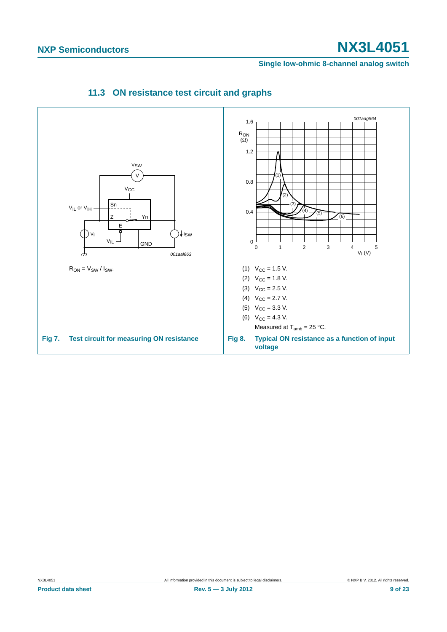#### <span id="page-8-0"></span>**Single low-ohmic 8-channel analog switch**

<span id="page-8-2"></span><span id="page-8-1"></span>

### **11.3 ON resistance test circuit and graphs**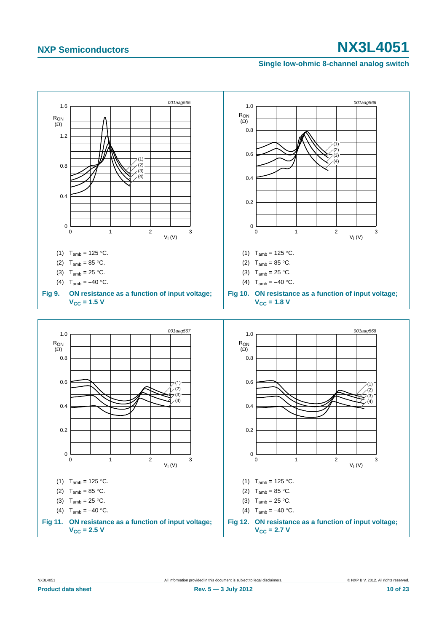#### **Single low-ohmic 8-channel analog switch**

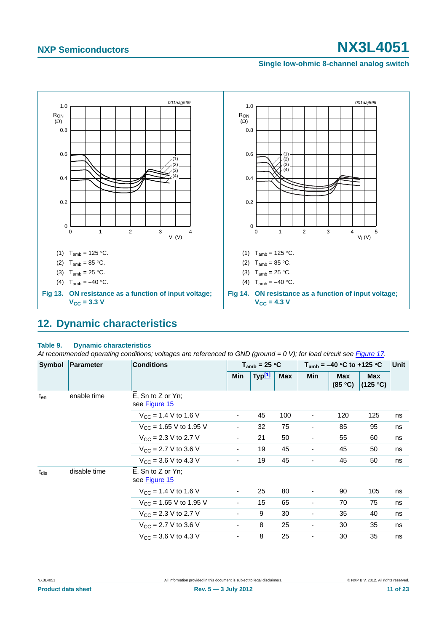#### **Single low-ohmic 8-channel analog switch**



## <span id="page-10-1"></span><span id="page-10-0"></span>**12. Dynamic characteristics**

#### **Table 9. Dynamic characteristics**

At recommended operating conditions; voltages are referenced to GND (ground = 0 V); for load circuit see [Figure 17.](#page-12-0)

| Symbol    | <b>Conditions</b><br>Parameter |                                          | $T_{amb}$ = 25 °C        |                    |            | $T_{amb}$ = -40 °C to +125 °C |                       |                        | Unit |
|-----------|--------------------------------|------------------------------------------|--------------------------|--------------------|------------|-------------------------------|-----------------------|------------------------|------|
|           |                                |                                          | Min                      | Typ <sup>[1]</sup> | <b>Max</b> | Min                           | <b>Max</b><br>(85 °C) | <b>Max</b><br>(125 °C) |      |
| $t_{en}$  | enable time                    | $E$ , Sn to Z or Yn;<br>see Figure 15    |                          |                    |            |                               |                       |                        |      |
|           |                                | $V_{CC}$ = 1.4 V to 1.6 V                | $\overline{\phantom{a}}$ | 45                 | 100        | ۰                             | 120                   | 125                    | ns   |
|           |                                | $V_{CC}$ = 1.65 V to 1.95 V              | $\overline{\phantom{a}}$ | 32                 | 75         | $\overline{\phantom{a}}$      | 85                    | 95                     | ns   |
|           |                                | $V_{\text{CC}} = 2.3 \text{ V}$ to 2.7 V | $\overline{\phantom{0}}$ | 21                 | 50         | ٠                             | 55                    | 60                     | ns   |
|           |                                | $V_{CC}$ = 2.7 V to 3.6 V                | $\overline{\phantom{a}}$ | 19                 | 45         | ٠                             | 45                    | 50                     | ns   |
|           |                                | $V_{CC}$ = 3.6 V to 4.3 V                | $\overline{\phantom{a}}$ | 19                 | 45         |                               | 45                    | 50                     | ns   |
| $t_{dis}$ | disable time                   | E, Sn to Z or Yn;<br>see Figure 15       |                          |                    |            |                               |                       |                        |      |
|           |                                | $V_{CC}$ = 1.4 V to 1.6 V                | $\overline{\phantom{a}}$ | 25                 | 80         | -                             | 90                    | 105                    | ns   |
|           |                                | $V_{\text{CC}}$ = 1.65 V to 1.95 V       | $\overline{\phantom{a}}$ | 15                 | 65         | $\overline{\phantom{a}}$      | 70                    | 75                     | ns   |
|           |                                | $V_{CC}$ = 2.3 V to 2.7 V                | ۰                        | 9                  | 30         | ۰                             | 35                    | 40                     | ns   |
|           |                                | $V_{\text{CC}} = 2.7 \text{ V}$ to 3.6 V | ۰                        | 8                  | 25         | ٠                             | 30                    | 35                     | ns   |
|           |                                | $V_{\text{CC}} = 3.6 \text{ V}$ to 4.3 V | ۰                        | 8                  | 25         | ٠                             | 30                    | 35                     | ns   |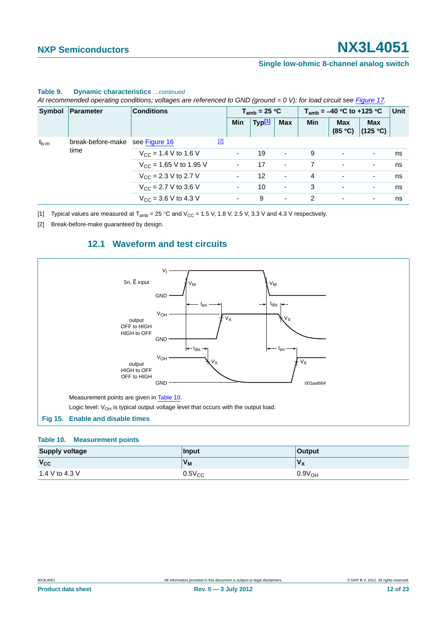#### **Single low-ohmic 8-channel analog switch**

|                                                      | Symbol Parameter                 | <b>Conditions</b>                        |   | $T_{amb}$ = 25 °C        |                          |                          |     | $T_{amb}$ = -40 °C to +125 °C |                                    | Unit |
|------------------------------------------------------|----------------------------------|------------------------------------------|---|--------------------------|--------------------------|--------------------------|-----|-------------------------------|------------------------------------|------|
|                                                      |                                  |                                          |   | <b>Min</b>               | Typ <sup>[1]</sup>       | <b>Max</b>               | Min | <b>Max</b>                    | <b>Max</b><br>$(85 °C)$ $(125 °C)$ |      |
| break-before-make see Figure 16<br>$t_{b-m}$<br>time |                                  | $\boxed{2}$                              |   |                          |                          |                          |     |                               |                                    |      |
|                                                      | $V_{\text{CC}}$ = 1.4 V to 1.6 V |                                          |   | 19                       | $\overline{\phantom{a}}$ | 9                        | ٠   | $\overline{\phantom{a}}$      | ns                                 |      |
|                                                      |                                  | $V_{\text{CC}}$ = 1.65 V to 1.95 V       |   |                          | 17                       | $\blacksquare$           |     | ٠                             | ٠                                  | ns   |
|                                                      | $V_{\rm CC}$ = 2.3 V to 2.7 V    |                                          |   | $12 \overline{ }$        | $\overline{\phantom{a}}$ | 4                        | ٠   | ٠                             | ns                                 |      |
|                                                      | $V_{\rm CC}$ = 2.7 V to 3.6 V    |                                          | ۰ | 10                       | $\overline{\phantom{a}}$ | 3                        | ٠   | $\overline{\phantom{a}}$      | ns                                 |      |
|                                                      |                                  | $V_{\text{CC}} = 3.6 \text{ V}$ to 4.3 V |   | $\overline{\phantom{a}}$ | 9                        | $\overline{\phantom{a}}$ | 2   | ٠                             | ٠                                  | ns   |

#### **Table 9. Dynamic characteristics** *…continued*

*At recommended operating conditions; voltages are referenced to GND (ground = 0 V); for load circuit see Figure 17.*

<span id="page-11-0"></span>[1] Typical values are measured at  $T_{amb} = 25 \degree C$  and  $V_{CC} = 1.5$  V, 1.8 V, 2.5 V, 3.3 V and 4.3 V respectively.

<span id="page-11-4"></span><span id="page-11-2"></span>[2] Break-before-make guaranteed by design.

### **12.1 Waveform and test circuits**



#### <span id="page-11-3"></span><span id="page-11-1"></span>**Table 10. Measurement points**

| <b>Supply voltage</b> | Input          | <b>Output</b>      |
|-----------------------|----------------|--------------------|
| $V_{\rm CC}$          | V <sub>M</sub> | V <sub>x</sub>     |
| 1.4 V to 4.3 V        | $0.5V_{CC}$    | 0.9V <sub>OH</sub> |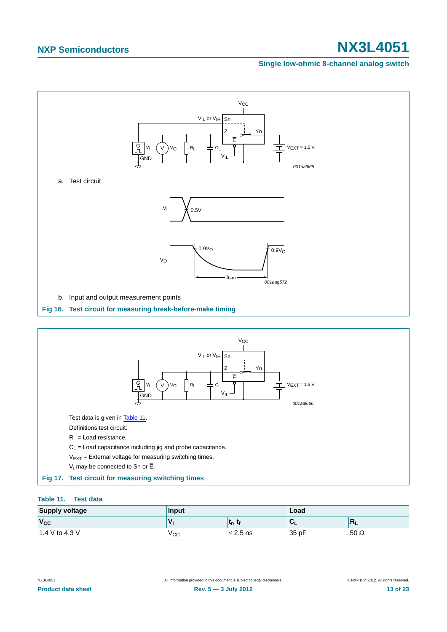#### **Single low-ohmic 8-channel analog switch**



#### <span id="page-12-2"></span><span id="page-12-1"></span><span id="page-12-0"></span>**Table 11. Test data**

| <b>Supply voltage</b> | Input |                | Load  |              |
|-----------------------|-------|----------------|-------|--------------|
| $V_{CC}$              | 'V    | $\mathbf{t}_r$ |       | M<br>--      |
| 1.4 V to 4.3 V        | ۷сс   | $\leq$ 2.5 ns  | 35 pF | $50\,\Omega$ |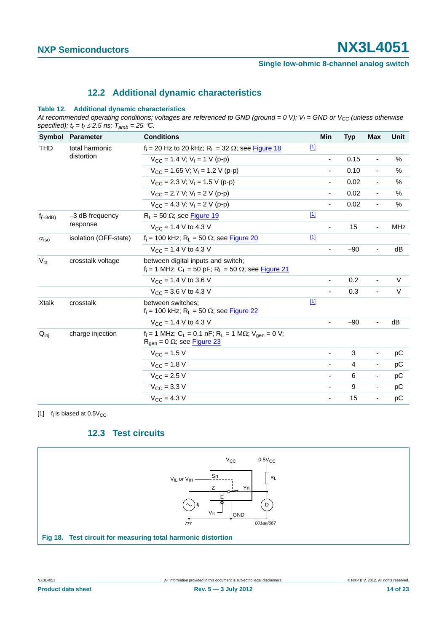### **12.2 Additional dynamic characteristics**

#### <span id="page-13-2"></span>**Table 12. Additional dynamic characteristics**

At recommended operating conditions; voltages are referenced to GND (ground = 0 V);  $V_1$  = GND or  $V_{CC}$  (unless otherwise specified);  $t_r = t_f \le 2.5$  ns;  $\overline{T}_{amb} = 25$  °C.

| Symbol                                     | <b>Parameter</b>              | <b>Conditions</b>                                                                                                                              | Min                      | <b>Typ</b> | Max                      | Unit       |
|--------------------------------------------|-------------------------------|------------------------------------------------------------------------------------------------------------------------------------------------|--------------------------|------------|--------------------------|------------|
| <b>THD</b><br>total harmonic<br>distortion |                               | $f_i$ = 20 Hz to 20 kHz; R <sub>L</sub> = 32 $\Omega$ ; see Figure 18                                                                          | $\boxed{1}$              |            |                          |            |
|                                            |                               | $V_{CC}$ = 1.4 V; V <sub>I</sub> = 1 V (p-p)                                                                                                   |                          | 0.15       | ÷,                       | $\%$       |
|                                            |                               | $V_{CC}$ = 1.65 V; V <sub>1</sub> = 1.2 V (p-p)                                                                                                | $\overline{\phantom{a}}$ | 0.10       | $\blacksquare$           | %          |
|                                            |                               | $V_{\text{CC}}$ = 2.3 V; V <sub>I</sub> = 1.5 V (p-p)                                                                                          |                          | 0.02       | $\overline{\phantom{a}}$ | $\%$       |
|                                            |                               | $V_{CC}$ = 2.7 V; V <sub>1</sub> = 2 V (p-p)                                                                                                   |                          | 0.02       | $\overline{\phantom{a}}$ | $\%$       |
|                                            |                               | $V_{CC} = 4.3 V$ : $V_1 = 2 V (p-p)$                                                                                                           |                          | 0.02       | $\overline{\phantom{a}}$ | $\%$       |
| $f_{(-3dB)}$                               | $-3$ dB frequency<br>response | $R_L$ = 50 $\Omega$ ; see Figure 19                                                                                                            | $\boxed{1}$              |            |                          |            |
|                                            |                               | $V_{CC} = 1.4 V to 4.3 V$                                                                                                                      | $\overline{\phantom{a}}$ | 15         | $\overline{\phantom{a}}$ | <b>MHz</b> |
| $\alpha_{\text{iso}}$                      | isolation (OFF-state)         | $f_i$ = 100 kHz; R <sub>L</sub> = 50 $\Omega$ ; see Figure 20                                                                                  | $\boxed{1}$              |            |                          |            |
|                                            |                               | $V_{CC}$ = 1.4 V to 4.3 V                                                                                                                      |                          | $-90$      | $\blacksquare$           | dB         |
| $V_{\rm ct}$                               | crosstalk voltage             | between digital inputs and switch;<br>$f_i = 1$ MHz; C <sub>L</sub> = 50 pF; R <sub>L</sub> = 50 $\Omega$ ; see Figure 21                      |                          |            |                          |            |
|                                            |                               | $V_{CC}$ = 1.4 V to 3.6 V                                                                                                                      |                          | 0.2        | $\overline{\phantom{a}}$ | $\vee$     |
|                                            |                               | $V_{CC}$ = 3.6 V to 4.3 V                                                                                                                      |                          | 0.3        | ÷,                       | $\vee$     |
| <b>Xtalk</b>                               | crosstalk                     | between switches:<br>$f_i$ = 100 kHz; R <sub>L</sub> = 50 $\Omega$ ; see Figure 22                                                             | $\boxed{1}$              |            |                          |            |
|                                            |                               | $V_{CC}$ = 1.4 V to 4.3 V                                                                                                                      |                          | $-90$      | ä,                       | dB         |
| $Q_{\text{inj}}$                           | charge injection              | $f_i = 1$ MHz; C <sub>L</sub> = 0.1 nF; R <sub>L</sub> = 1 M $\Omega$ ; V <sub>gen</sub> = 0 V;<br>$R_{\text{qen}} = 0 \Omega$ ; see Figure 23 |                          |            |                          |            |
|                                            |                               | $V_{CC}$ = 1.5 V                                                                                                                               |                          | 3          | $\overline{\phantom{a}}$ | pC         |
|                                            |                               | $V_{\text{CC}} = 1.8 \text{ V}$                                                                                                                |                          | 4          | $\overline{\phantom{a}}$ | рC         |
|                                            |                               | $V_{CC}$ = 2.5 V                                                                                                                               | $\overline{\phantom{a}}$ | 6          | $\overline{\phantom{a}}$ | рC         |
|                                            |                               | $V_{\text{CC}} = 3.3 \text{ V}$                                                                                                                | $\overline{\phantom{a}}$ | 9          | $\overline{\phantom{a}}$ | pC         |
|                                            |                               | $V_{\rm CC} = 4.3 V$                                                                                                                           | $\blacksquare$           | 15         | $\blacksquare$           | рC         |

<span id="page-13-1"></span>[1]  $f_i$  is biased at  $0.5V_{CC}$ .

### **12.3 Test circuits**

<span id="page-13-3"></span><span id="page-13-0"></span>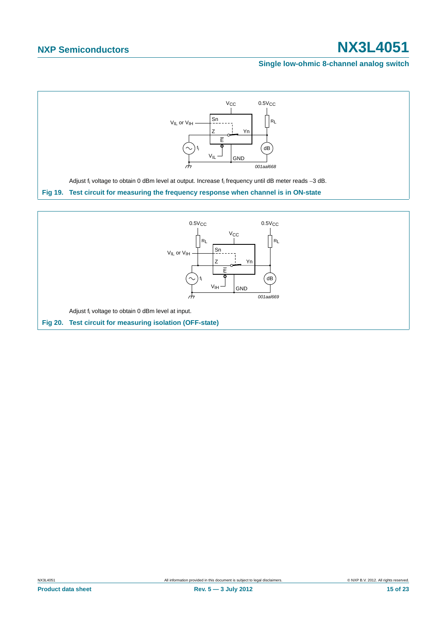#### **Single low-ohmic 8-channel analog switch**

<span id="page-14-0"></span>

<span id="page-14-1"></span>**Fig 20. Test circuit for measuring isolation (OFF-state)**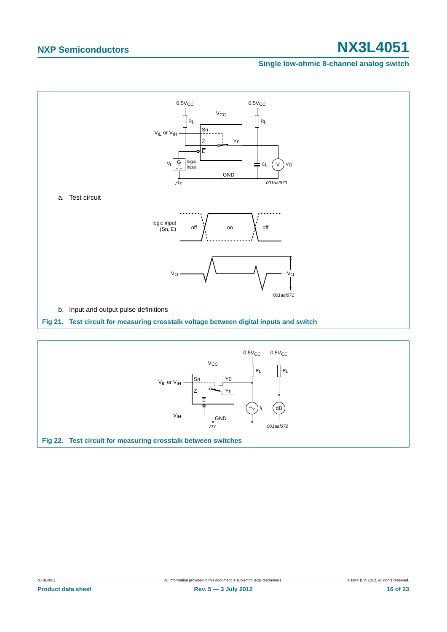#### **Single low-ohmic 8-channel analog switch**



<span id="page-15-1"></span><span id="page-15-0"></span>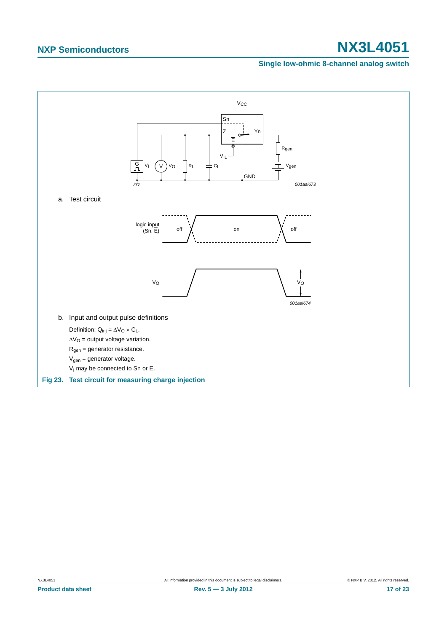### **Single low-ohmic 8-channel analog switch**

<span id="page-16-0"></span>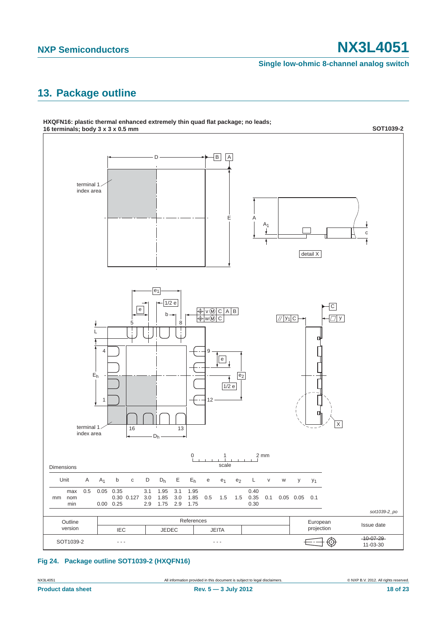#### **Single low-ohmic 8-channel analog switch**

# <span id="page-17-0"></span>**13. Package outline**



#### **Fig 24. Package outline SOT1039-2 (HXQFN16)**

NX3L4051 All information provided in this document is subject to legal disclaimers. © NXP B.V. 2012. All rights reserved.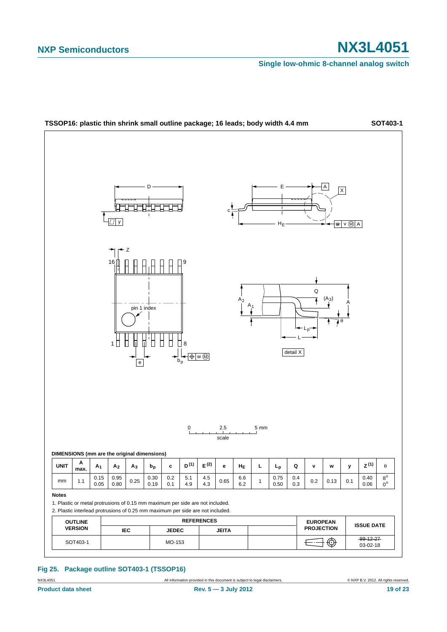**Single low-ohmic 8-channel analog switch**



#### **Fig 25. Package outline SOT403-1 (TSSOP16)**

NX3L4051 **All information provided in this document is subject to legal disclaimers.** © NXP B.V. 2012. All rights reserved.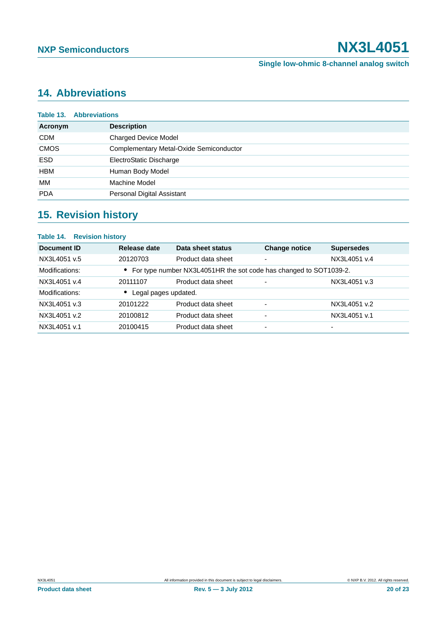# <span id="page-19-0"></span>**14. Abbreviations**

|             | <b>Table 13. Abbreviations</b>          |  |  |  |
|-------------|-----------------------------------------|--|--|--|
| Acronym     | <b>Description</b>                      |  |  |  |
| <b>CDM</b>  | <b>Charged Device Model</b>             |  |  |  |
| <b>CMOS</b> | Complementary Metal-Oxide Semiconductor |  |  |  |
| <b>ESD</b>  | ElectroStatic Discharge                 |  |  |  |
| <b>HBM</b>  | Human Body Model                        |  |  |  |
| MМ          | Machine Model                           |  |  |  |
| <b>PDA</b>  | Personal Digital Assistant              |  |  |  |
|             |                                         |  |  |  |

# <span id="page-19-1"></span>**15. Revision history**

| Table 14. Revision history |                                   |                                                                     |                          |                   |  |
|----------------------------|-----------------------------------|---------------------------------------------------------------------|--------------------------|-------------------|--|
| Document ID                | Release date                      | Data sheet status                                                   | <b>Change notice</b>     | <b>Supersedes</b> |  |
| NX3L4051 v.5               | 20120703                          | Product data sheet                                                  | ۰                        | NX3L4051 v.4      |  |
| Modifications:             |                                   | • For type number NX3L4051HR the sot code has changed to SOT1039-2. |                          |                   |  |
| NX3L4051 v.4               | 20111107                          | Product data sheet                                                  | $\overline{\phantom{0}}$ | NX3L4051 v.3      |  |
| Modifications:             | Legal pages updated.<br>$\bullet$ |                                                                     |                          |                   |  |
| NX3L4051 v.3               | 20101222                          | Product data sheet                                                  | ٠                        | NX3L4051 v.2      |  |
| NX3L4051 v.2               | 20100812                          | Product data sheet                                                  | ٠                        | NX3L4051 v.1      |  |
| NX3L4051 v.1               | 20100415                          | Product data sheet                                                  | $\overline{\phantom{0}}$ | -                 |  |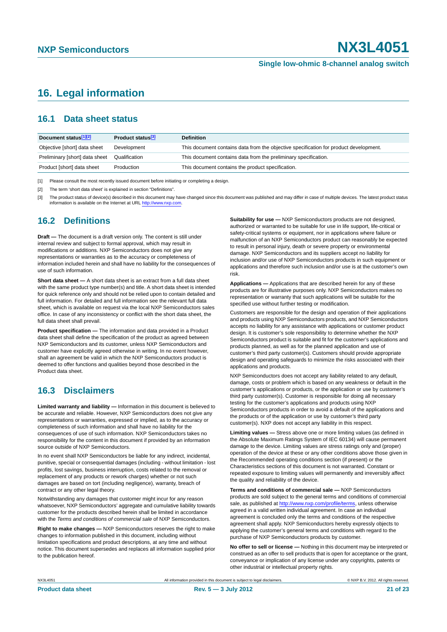## <span id="page-20-0"></span>**16. Legal information**

### <span id="page-20-1"></span>**16.1 Data sheet status**

| Document status[1][2]          | <b>Product status</b> <sup>[3]</sup> | <b>Definition</b>                                                                     |
|--------------------------------|--------------------------------------|---------------------------------------------------------------------------------------|
| Objective [short] data sheet   | Development                          | This document contains data from the objective specification for product development. |
| Preliminary [short] data sheet | Qualification                        | This document contains data from the preliminary specification.                       |
| Product [short] data sheet     | Production                           | This document contains the product specification.                                     |

[1] Please consult the most recently issued document before initiating or completing a design.

[2] The term 'short data sheet' is explained in section "Definitions".

[3] The product status of device(s) described in this document may have changed since this document was published and may differ in case of multiple devices. The latest product status<br>information is available on the Intern

### <span id="page-20-2"></span>**16.2 Definitions**

**Draft —** The document is a draft version only. The content is still under internal review and subject to formal approval, which may result in modifications or additions. NXP Semiconductors does not give any representations or warranties as to the accuracy or completeness of information included herein and shall have no liability for the consequences of use of such information.

**Short data sheet —** A short data sheet is an extract from a full data sheet with the same product type number(s) and title. A short data sheet is intended for quick reference only and should not be relied upon to contain detailed and full information. For detailed and full information see the relevant full data sheet, which is available on request via the local NXP Semiconductors sales office. In case of any inconsistency or conflict with the short data sheet, the full data sheet shall prevail.

**Product specification —** The information and data provided in a Product data sheet shall define the specification of the product as agreed between NXP Semiconductors and its customer, unless NXP Semiconductors and customer have explicitly agreed otherwise in writing. In no event however, shall an agreement be valid in which the NXP Semiconductors product is deemed to offer functions and qualities beyond those described in the Product data sheet.

### <span id="page-20-3"></span>**16.3 Disclaimers**

**Limited warranty and liability —** Information in this document is believed to be accurate and reliable. However, NXP Semiconductors does not give any representations or warranties, expressed or implied, as to the accuracy or completeness of such information and shall have no liability for the consequences of use of such information. NXP Semiconductors takes no responsibility for the content in this document if provided by an information source outside of NXP Semiconductors.

In no event shall NXP Semiconductors be liable for any indirect, incidental, punitive, special or consequential damages (including - without limitation - lost profits, lost savings, business interruption, costs related to the removal or replacement of any products or rework charges) whether or not such damages are based on tort (including negligence), warranty, breach of contract or any other legal theory.

Notwithstanding any damages that customer might incur for any reason whatsoever, NXP Semiconductors' aggregate and cumulative liability towards customer for the products described herein shall be limited in accordance with the *Terms and conditions of commercial sale* of NXP Semiconductors.

**Right to make changes —** NXP Semiconductors reserves the right to make changes to information published in this document, including without limitation specifications and product descriptions, at any time and without notice. This document supersedes and replaces all information supplied prior to the publication hereof.

**Suitability for use —** NXP Semiconductors products are not designed, authorized or warranted to be suitable for use in life support, life-critical or safety-critical systems or equipment, nor in applications where failure or malfunction of an NXP Semiconductors product can reasonably be expected to result in personal injury, death or severe property or environmental damage. NXP Semiconductors and its suppliers accept no liability for inclusion and/or use of NXP Semiconductors products in such equipment or applications and therefore such inclusion and/or use is at the customer's own risk.

**Applications —** Applications that are described herein for any of these products are for illustrative purposes only. NXP Semiconductors makes no representation or warranty that such applications will be suitable for the specified use without further testing or modification.

Customers are responsible for the design and operation of their applications and products using NXP Semiconductors products, and NXP Semiconductors accepts no liability for any assistance with applications or customer product design. It is customer's sole responsibility to determine whether the NXP Semiconductors product is suitable and fit for the customer's applications and products planned, as well as for the planned application and use of customer's third party customer(s). Customers should provide appropriate design and operating safeguards to minimize the risks associated with their applications and products.

NXP Semiconductors does not accept any liability related to any default. damage, costs or problem which is based on any weakness or default in the customer's applications or products, or the application or use by customer's third party customer(s). Customer is responsible for doing all necessary testing for the customer's applications and products using NXP Semiconductors products in order to avoid a default of the applications and the products or of the application or use by customer's third party customer(s). NXP does not accept any liability in this respect.

**Limiting values —** Stress above one or more limiting values (as defined in the Absolute Maximum Ratings System of IEC 60134) will cause permanent damage to the device. Limiting values are stress ratings only and (proper) operation of the device at these or any other conditions above those given in the Recommended operating conditions section (if present) or the Characteristics sections of this document is not warranted. Constant or repeated exposure to limiting values will permanently and irreversibly affect the quality and reliability of the device.

**Terms and conditions of commercial sale —** NXP Semiconductors products are sold subject to the general terms and conditions of commercial sale, as published at<http://www.nxp.com/profile/terms>, unless otherwise agreed in a valid written individual agreement. In case an individual agreement is concluded only the terms and conditions of the respective agreement shall apply. NXP Semiconductors hereby expressly objects to applying the customer's general terms and conditions with regard to the purchase of NXP Semiconductors products by customer.

**No offer to sell or license —** Nothing in this document may be interpreted or construed as an offer to sell products that is open for acceptance or the grant, conveyance or implication of any license under any copyrights, patents or other industrial or intellectual property rights.

NX3L4051 All information provided in this document is subject to legal disclaimers. © NXP B.V. 2012. All rights reserved.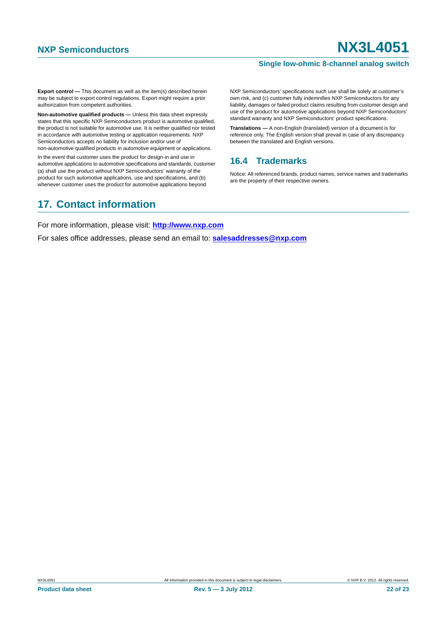#### **Single low-ohmic 8-channel analog switch**

**Export control —** This document as well as the item(s) described herein may be subject to export control regulations. Export might require a prior authorization from competent authorities.

**Non-automotive qualified products —** Unless this data sheet expressly states that this specific NXP Semiconductors product is automotive qualified, the product is not suitable for automotive use. It is neither qualified nor tested in accordance with automotive testing or application requirements. NXP Semiconductors accepts no liability for inclusion and/or use of non-automotive qualified products in automotive equipment or applications.

In the event that customer uses the product for design-in and use in automotive applications to automotive specifications and standards, customer (a) shall use the product without NXP Semiconductors' warranty of the product for such automotive applications, use and specifications, and (b) whenever customer uses the product for automotive applications beyond

NXP Semiconductors' specifications such use shall be solely at customer's own risk, and (c) customer fully indemnifies NXP Semiconductors for any liability, damages or failed product claims resulting from customer design and use of the product for automotive applications beyond NXP Semiconductors' standard warranty and NXP Semiconductors' product specifications.

**Translations —** A non-English (translated) version of a document is for reference only. The English version shall prevail in case of any discrepancy between the translated and English versions.

### <span id="page-21-0"></span>**16.4 Trademarks**

Notice: All referenced brands, product names, service names and trademarks are the property of their respective owners.

## <span id="page-21-1"></span>**17. Contact information**

For more information, please visit: **http://www.nxp.com**

For sales office addresses, please send an email to: **salesaddresses@nxp.com**